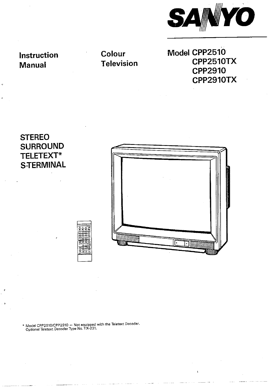

**Instruction Manual** 

**Colour Television**  **Model CPP2510 CPP2510TX CPP2910 CPP2910TX** 

**STEREO SURROUND TELETEXT\* S-TERMINAL** 



 $\mathbf{I}$ 

<sup>i</sup>\* **Model cpPz5101cPP2910** - **Not equipped with the Teletext Decoder. Ootional Teletext Decoder Type No. TX-231.**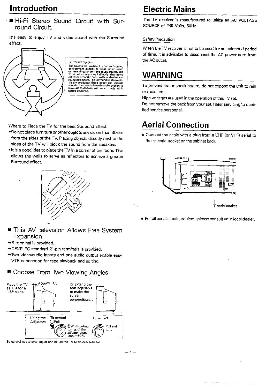# **Introduction**

■ Hi-Fi Stereo Sound Circuit with Surround Circuit.

It's easy to enjoy TV and video sound with the Surround



Surround System<br>The sounds that we hear in a natural listening<br>environment consist of those which reach<br>our ears directly from the sound source, and our east entruy from the sound source, and<br>those which reach us indirectly after being releated off of the floor, walls, and other sur-<br>randing objects. The Survay offers help council system elec-<br>randing produces these di

Where to Place the TV for the best Surround Effect

- Do not place furniture or other objects any closer than 30 cm from the sides of the TV. Placing objects directly next to the sides of the TV will block the sound from the speakers.
- It is a good idea to place the TV in a corner of the room. This allows the walls to serve as reflectors to achieve a greater Surround effect.



- **. This AV Television Allows Free System** Expansion
- S-terminal is provided.
- CENELEC standard 21-pin terminals is provided.
- Two videolaudio inputs and one audio output enable easy VTR connection for tape playback and editing.

## ■ Choose From Two Viewing Angles



Be careful not to over-adjust and cause the TV to tip over forward.

# **Electric Mains**

The **TV** receiver is manufactured to utilize an AC VOLTAGE SOURCE of 240 Volts, 50Hz.

#### Safety Precaution

When the TV receiver is not to be used for an extended period of time, it is advisable to disconnect the AC power cord from the AC outlet.

# **WARNING**

To prevent fire or shock hazard, do not expose the unit to rain or moisture.

High voltages are used in the operation of this TV set.

Do not remove the back from your set. Refer servicing to qualified service personnel.

# **Aerial Connection**

Connect the cable with a plug from a UHF (or VHF) aerial to the 1r aerial socket on the cabinet back.



**0** For all aerial circuit problems please consult your local dealer.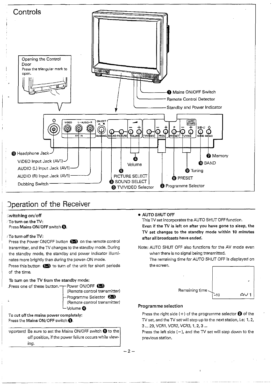

## **D** peration of the Receiver

1

Press the Power ON/OFF button **(B)** on the remote control the standby mode, the standby and power indicator illuminates more brightly than during the power-ON mode. The remaining time for AUTO SHUT OFF is displayed on

Press this button **and** to turn of the unit for short periods the screen. of the time.

#### To turn on the TV from the standby mode:



'To cut off the mains power completely:

3 ... 29, VCR1, VCR2, VCR3, 1, 2, 3 ...<br>3 ... 29, VCR1, VCR2, VCR3, 1, 2, 3 ...<br>off position, if the power failure occurs while view-<br>previous station. off position, if the power failure occurs while view-<sup>I</sup>ing.

### $\dot{\mathbf{z}}$  witching on/off  $\mathbf{z}$

This TV set incorporates the AUTO SHUT OFF function. Press Mains ON/OFF switch  $\bullet$ . **Even if the TV** is left on after you have gone to sleep, the TV set changes to the standby mode within **10** minutes : To turn off the **W:** after a!! broadcasts have ended.

# transmitter, and the TV changes to the standby mode. During Note: AUTO SHUT OFF also functions for the AV mode even<br>the standby mode, the standby and power indicator illumi-<br>when there is no signal being transmitted.



Press the right side  $(+)$  of the programme selector  $\bigcirc$  of the Fress the Mains ON/OFF switch  $\bigcirc$ .

 $-2-$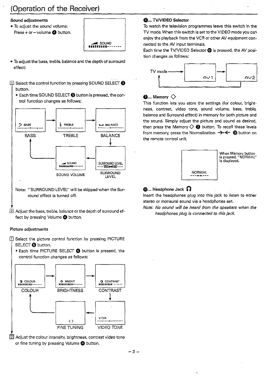# (Operation of the Receiver)

#### Sound adjustments

- To adjust the sound volume:
- Press + or-volume **0** button.



- To adjust the bass, treble, balance and the depth of surround effect:
- Select the control function by pressing SOUND SELECT@ button.
	- Each time SOUND SELECT@ button is pressed, the control function changes as follows:



[2] Adjust the bass, treble, balance or the depth of surround effect by pressing Volume @ button.

#### Picture adjustments

- $\overline{11}$  Select the picture control function by pressing PICTURE SELECT **@** button.
	- **Each time PICTURE SELECT @ button is pressed, the** control function changes as follows:



**E** Adjust the colour intensity, brightness, contrast video tone or fine tuning by pressing Volume @ button.

#### **G.... TV/VIDEO Selector**

To watch the television programmes leave this switch in the TV mode. When this switch is set to the VIDEO mode you can enjoy the playback from the VCR or other AV equipment connected to the AV input terminals.

Each time the TV/VIDEO Selector @ is pressed, the AV position changes as follows:



#### $\bullet$ **....** Memory  $\diamondsuit$

This function lets you store the settings (for colour, brightness, contrast, video tone, sound volume, bass, treble, balance and Surround effect) in memory for both picture and the sound. Simply adjust the picture and sound as desired. then press the Memory  $\Diamond$  **O** button. To recall these levels from memory, press the Normalization  $\rightarrow \leftarrow \bullet$  button on the remote control unit.



#### **Q**.... Headphone Jack  $\Omega$

Insert the headphones plug into this jack to listen to either stereo or monaural sound via a headphones set.

Note: No sound will be heard from the speakers when the headphones plug is connected to this **jack.**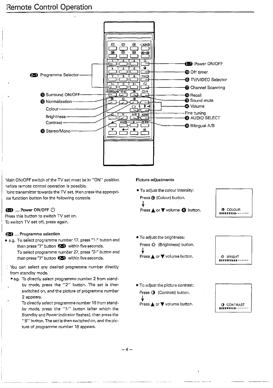

Main ON/OFF switch of the TV set must be in "ON" position before remote control operation is possible. Joint transmitter towards the TV set, then press the appropriate function button for the following controls.

#### **69** .... Power ON/OFF  $\circlearrowleft$

Press this button to switch TV set on. To switch TV set off, press again.

#### 25 .... Programme selection

- **a** e.g. To select programme number 17, press "1." button and then press "7" button  $\left( \frac{1}{2} \right)$  within five seconds. To select programme number 27, press **"2-"** button and then press "7" button  $\Box$  within five seconds.
- You can select any desired programme number directly from standby mode.
	- e.g. To directly select programme number 2 from standby mode, press the "2" button. The set is then switched on, and the picture of programme number 2 appears.
		- To directly select programme number 16 from standby mode, press the "I-" button (after which the Standby and Power indicator flashes), then press the "6" button. The set is then switched on, and thepicture of programme number 16 appears.

#### Picture adjustments

**0** To adjust the colour intensity: Press@ (Colour) button. **)∜**<br>Press <mark>A</mark> or ▼ volume ❹ button.



 $\bullet$  To adjust the brightness: Press **-0.** (Brightness) button. J. Press **▲** or ▼ volume button.



**0** To adjust the picture contrast: Press  $\bigcirc$  (Contrast) button. J. Press **A** or V volume button. I **0** CONTRAST



-4-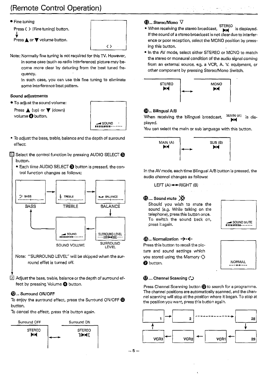# (Remote Control Operation)



```
Press \langle \rangle (Fine tuning) button.
(y<br>Press ▲ or ▼ volume button.
```


- Note: Normally fine tuning is not required forthis TV. However,
	- quency. in some case (such as radio interference) picture may become more clear by detuning from the best tuned fre-

In such case, you can use this fine tuning to eliminate some interference beat pattern.

#### Sound adjustments

To adjust the sound volume:

**Pund adjustments<br>To adjust the sound volume:<br>Press ▲ (up) or ▼ (down)** volume **O** button.



To adjust the bass, treble, balance and the depth of surround effect:

11 Select the control function by pressing AUDIO SELECT <sup>8</sup> button.

● Each time AUDIO SELECT <sup>3</sup> button is pressed, the control function changes as follows;



- Note: "SURROUND LEVEL" will be skipped when the surround effet is turned off.
- 4 2 Adjust the bass, treble, balance or the depth of surround effect by pressing Volume **0** button.

### @... Surround ON/OFF

To enjoy the surround effect, press the Surround ON/OFF @ button.

To cancel the effect, press this button again.



### $\mathbf{\Phi}$ ... Stereo/Mono  $\nabla$

• When receiving the stereo broadcast, **FILINED** is displayed. If the sound of a stereo broadcast is not clear due to interference or poor reception, select the MONO position by pressing this button.

第二章 第二章

In the AV mode, select either STEREO or MONO to match the stereo or monaural condition of the audio signal coming from an external source, eg. **a** VCR, A. V. equipment, or other component by pressing Stereo/Mono Switch.



### @... Bilingual AIB

When receiving the bilingual broadcast, MAIN (A) is dis-<br>played.

You can select the main or sub language with this button.



In the AV mode, each time Bilingual A/B button is pressed, the audio channel changes as follows:

LEFT  $(A) \rightarrow R \mid G \mid T \mid (B)$ 

#### $\mathbf{\Phi}$ .... Sound mute  $\chi$

Should you wish to mute the sound (e.g. While talking on the telephone), press this button once. To switch the sound back on, press it again.



#### **(B... Normalization →←**

Press this button to recall the picture and sound settings which you stored using the Memory  $\diamondsuit$ **a** button.



#### $\omega$ .... Channel Scanning  $\circlearrowright$

Press Channel Scanning button  $\bigcirc$  to search for a programme. The channel positions are automatically scanned, and the channel scanning will stop at the position where it began. To stop at the position you want, press this button again.



 $-5-$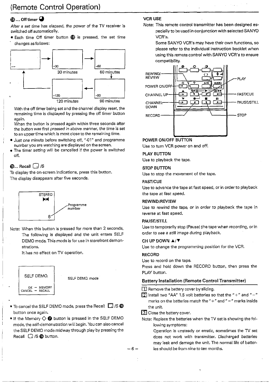## $\mathbf 0$  .... Off timer  $\mathbf 0$

After a set time has elapsed, the power of the TV receiver is switched off automatically.

\* Each time Off timer button (D is pressed, the set time changes as follows:



With the off timer being set and the channel display reset, the remaining time is displayed by pressing the off timer button again.

When the button is pressed again within three seconds after the button was first pressed in above manner, the time is set to an uppertime which is most close to the remaining time.

- , Just one minute before switching off, "-01" and programme number you are watching are displayed on the screen.
- The timer setting will be cancelled if the power is switched off.

**D**.... Recall  $\begin{bmatrix} . . . \end{bmatrix}$  /S<br>To display the on-screen indications, press this button. The display disappears after five seconds.



Note: When this button is pressed for more than 2 seconds, The following is displayed and the unit enters SELF DEMO mode. This mode is for use in storefront demonstrations.

It has no effect on TV operation.



- $\bullet$  To cancel the SELF DEMO mode, press the Recall  $\Box$  /S  $\bullet$ button once again.
- $\bullet$  If the Memory  $\Diamond$  **@** button is pressed in the SELF DEMO mode, the self-demonstration wiil begin. You can also cancel the SELF DEMO mode midway through play by pressing the Recall  $\Box$  /S  $\Box$  button.

#### VCR USE

Note: This remote control transmitter has been designed especially to be used in conjunction with selected SANYO VCR's.

Some SANYO VCR's may have their own functions, so please refer to the individual instruction booklet when using this remote control with SANYO VCR's to ensure compatibility.



#### POWER ONIOFF BUTTON

Use to turn VCR power on and off.

#### PLAY BUTTON

Use to playback the tape.

#### STOP BU7TON

Use to stop the movement of the tape.

#### **FAST/CUE**

Use to advance the tape at fast speed, or in order to playback the tape at fast speed.

#### **REWIND/REVIEW**

Use to rewind the tape, or in order to playback the tape in reverse at fast speed.

#### PAUSE/STILL

Use to temporarily stop (Pause) the tape when recording, or in order to see a still image during playback.

#### CH UP DOWN  $\blacktriangle/\blacktriangledown$

Use to change the programming position for the VCR.

#### **RECORD**

Use to record on the tape.

Press and hold down the RECORD button, then press the PLAY button.

#### Battery Installation (Remote Control Transmitter)

1 Remove the battery cover by sliding.

- $\boxed{2}$  install two "AA" 1.5 volt batteries so that the "+" and "-" marks on the batteries match the " $+$ " and " $-$ " marks inside the unit.
- 3 Close the battery cover.

- . ~ ~ . -~

Note: Replace the batteries when the TV set is showing the following symptoms:

Operation is unsteady or erratic, sometimes the TV set does not work with transmitter. Discharged batteries may leak and damage the unit. The normal life of batter-  $-6-$  ies should be from nine to ten months.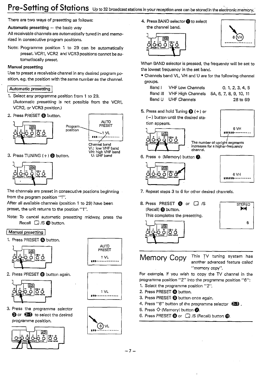# Pre-Setting of Stations Up to 32 broadcast stations in your reception area can be stored in the electronic memory.

There are two ways of presetting as follows:

Automatic presetting  $-$  the basic way

All receivable channels are automatically tuned in and memorized in consecutive program positions.

Note: Programme position 1 to 29 can be automatically preset. VCR1, VCR2 and VCR3 positions cannot be automatiocally preset.

### Manual presetting

Use to preset a receivable channel in any desired program position, e.g. the position with the same number as the channel.

### / Automatic presetting

- 1. Select any programme position from 1 to 29. (Automatic presetting is not possible from the VCR1, VCR2 or VCR3 position.)
- 2. Press PRESET @ button.





**U: UHF band** 

3. Press TUNING  $(+)$   $\bigcirc$  button.



The channels are preset in consecutive postions beginning from the program position "I".

After all available channels (position 1 to 29) have been preset, the unit returns to the postion "1".

Note: To cancel automatic presetting midway, press the Recall  $\Box$  /S  $\Box$  button.

#### Manual presetting

1. Press PRESET @ button.







3. Press the programme selector **@ or**  $\circled{2}$  to select the desired programme position.





 $1 V<sub>L</sub>$ 



4. Press BAND the channel band.





When BAND selector is pressed, the frequency will be set to the lowest frequency in the set band.

- Channels band VL, VH and U are for the following channel groups.
	- Band I VHF Low Channels 0. 1. 2. **3.** 4, <sup>5</sup> Band Ill VHF High Channels 5A. 6, 7, 8. 9, 10, 11 Band U UHF Channels 28 to 69

- 5. Press and hold Tuning  $\bigoplus$  (+) or
	- $(-)$  button until the desired station appears.













- 7. Repeat steps 3 to 6 for other desired channels.
- 8. Press PRESET **@** or **Q** /S<br>(Recall) **@** button. This completes the presetting.





 $\frac{1}{2}$ ,  $\frac{1}{2}$  Memory Copy This TV tuning system has

another advanced feature called "memory copy".

For example, if you wish to copy the TV channel in the programme position "2" into the programme position "6":

- 1. Select the programme position "2".
- 2. Press PRESET @ button.
- 3. Press PRESET **0** button once again.
- 4. Press "6" button of the programme selector  $\overline{20}$ .<br>5. Press  $\diamondsuit$  (Memory) button **@**.
- 
- 6. Press PRESET **@** or  $\Box$  /S (Recall) button **@.**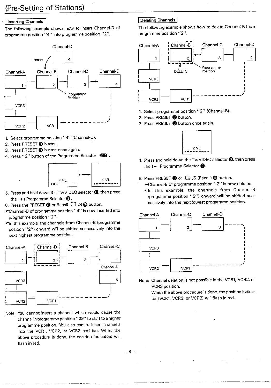#### **Inserting Channels**

The following example shows how to insert Channel-D of programme position "4" into programme position "2".



- 1. Select programme position "4" (Channel-D).
- 2. Press PRESET @ button.
- 3. Press PRESET @ button once again.
- 4. Press "2" button of the Programme Selector  $\Box$ ).



- 5. Press and hold down the TV/VIDEO selector  $\bigcirc$ , then press
- the  $(+)$  Programme Selector **@**.<br>6. Press the PRESET **@** or Recall  $\Box$  /S **@** button.
- Channel-D of programme position "4" is now inserted into programme position "2".
- In this exampie, the channels from Channel-B (programme position "2") onward will be shifted successively into the next highest programme position.



Note: You cannot insert a channel which would cause the channel in programme position "29" to shift to a higher programme position. You also cannot insert channels into the VCR1, VCR2, or VCR3 position. When the above procedure is done, the position indicators will flash in red.

#### Deleting Channels

The following example shows how to delete Channel-8 from programme position "2".



- 1. Select programme position "2" (Channel-El.
- 2. Press PRESET @ button.
- 3. Press PRESET @ button once again.



- **4.** Press and hold down the TVIVIDEO selector@, then press the  $(-)$  Programme Selector  $\bigotimes$ .
- 5. Press PRESET @ or  $\Box$  /S (Recall) @ button.
	- Channel-8 of programme position "2" is now deleted.
	- =In this example, the channels from Channel-8 (programme position "2") onward will be shifted successively into the next lowest programme position.



Note: Channel deletion is not possible in the VCR1, VCR2, or VCR3 position.

When the above procedure is done, the position indicator (VCR1, VCR2, or VCR3) will flash in red.

 $-8-$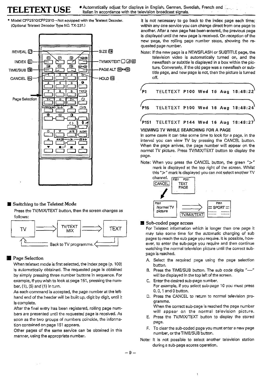**TELETEXT USE** <sup>•</sup> Automatically adjust for displays in English, German, Swedish, French and **Interact Prench and** <br>**TELETEXT USE** <sup>•</sup> Italian in accordance with the television broadcast signals.



#### ■ Switching to the Teletext Mode

Press the TV/MIX/TEXT button, then the screen changes as follows:



#### **Page Selection**

When teletext mode is first selected, the index page (p. 100) is automatically obtained. The requested page is obtained by simply pressing three number buttons in sequence. For example, if you wish to look at page <mark>151, pressing the num-</mark><br>ber, (1), (5) and (1) in turn.

As each command is accepted, the page number at the lefthand end of the header will be built up, digit by digit, until it is complete.

After the final entry has been registered, rolling page numhers are presented until the requested page is received. As soon as the two groups of numbers coincide, the information contained on page 151 appears.

Other pages of the same service can be obtained in this manner, using the appropriate number.

Model CPP2510/CPP2910-Not equipped with the Teletext Decoder. It is not necessary to go back to the index page each time; (Optional Teletext Decoder Type NO. TX-231.) within any one service you can change direct from one page to another. After a new page has been entered, the previous page is displayed until the new page is received. On reception of the new page, the roiling page number stops, showing the requested page number.

> Note: if the new page is a NEWSFLASH or SUBTITLE page, the television video is automatically turned on, and the newsflash or subtitle is displayed in a box within the picture. Conversely, if the old page was a newsflash or subtitle page, and new page is not, then the picture is turned off.

f P1 TELETEXT PlOO Wed 16 Aug 18:48:22 1 <sup>T</sup>\ P15 TELETEXT PlOO Wed **16** Aug 18:48:24 <sup>T</sup>\ PI51 TELETEXT P144 Wed 16 Aug 18:48:27

#### VIEWING TV WHILE SEARCHING FOR A PAGE

In some cases it can take some time to look for a page. In the interval you can view TV by pressing the CANCEL button. When the page arrives, the page number will appear on the normal TV picture. Press TV/MIX/TEXT button to display the page.

Note: When you press the CANCEL button, the green " $>$ " mark is displayed at the top right of the screen. Whilst this **"7"** mark is displayed you can not select another TV



#### **R** Sub-coded page access

For Teletext information which is longer than one page it may take some time for the automatic changing of sub pages to reach the sub page you require. It is possible, however, to enter the sub-page you require and then continue watching the normal television picture until the correct subpage is reached.

- A. Select the required page using the page selection button.
- **B.** Press the TIME/SUB button. The sub code digits "----" will be displayed in the top left of the screen.
- C. Enter the desired sub-page number. For example, if you select sub-page 10 you must press  $0, 0, 1$  and  $0$  button.
- D. Press the CANCEL to return to normal television programme.

When the correct sub-page is reached the page number will appear on the normal television picture.

- E. Press the TVIMiXrrEXT button to display the stored page.
- F. To clearthe sub-coded page you must enter a new page number, or the TIME/SUB button.
- Note: It is not possible to select another television station during a sub-page access operation.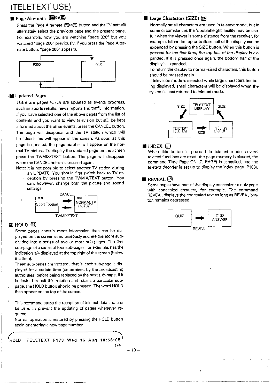# (TELETEXT USE)

## Page Alternate **B**

Press the Page Alternate **BOS** button and the TV set will alternately select the previous page and the present page. For example, now you are watching "page 300" but you watched "page 200" previously. If you press the Page Alter-



#### **<sup>s</sup>**Updated **Pages**

There are pages which are updated as events progress, such as sports results, news reports and traffic information. If you have selected one of the above pages from the list of contents and you want to view television but still be kept informed about the other events, press the CANCEL button. The page will disappear and the TV station which will broadcast this will appear in the screen. **As** soon as this page is updated, the page number will appear on the normal TV picture. To display the updated page on the screen press the TV/MIX/TEXT button. The page will disappear when the CANCEL button is pressed again.

Note: It is not possible to select another TV station during

an UPDATE. You should first switch back to TV re ception by pressing the TV/MIX/TEXT button. You can, however, change both the picture and sound settings.



#### ■ HOLD *国*

Some pages contain more information than can be displayed on the screen simultaneously and are therefore subdivided into a series of two or more sub-pages. The first sub-page of a series of foursub-pages, for example, has the indication 1/4 displayed at the top right of the screen (below the time).

These sub-pages are 'rotated', that is, each sub-page is displayed for a certain time (determined by the broadcasting authorities) before being replaced by the next sub-page. If it is desired to halt this rotation and retains a particular sub-

- page, the HOLD button should be pressed. The word HOLD then appear on the top of the screen.
- This command stops the reception of teletext data and can be used to prevent the updating of pages whenever required.

Normal operation is restored by pressing the HOLD button again orentering a new page number.

**'HOLD** TELETEXT PI73 **Wed** 16 **Aug** 10:56:05' **114** 

## **Large Characters (SIZE)** 国

Normally small characters are used in teletext mode, but in some circumstances the 'doubleheight' facility may be useful; when the viewer is some distance from the receiver, for example. Either the top or bottom half of the display can be expanded by pressing the SIZE button. When this button is pressed for the first time, the top half of the display is expanded. If it is pressed once again, the bottom half of the display is expanded.

To return the display to normal-sized characters, this button should be pressed again.

If television mode is selected while large characters are being displayed, small characters will be displayed when the system is next returned to teletext mode.



### INDEX  $\Xi$

When this button is pressed in teletext mode, several teletext functions are reset: the page memory is cleared, the command Time Page ON (T. PAGE) is cancelled, and the teletext decoder is set up to display the index page (P100).

#### **REVEAL**  $\bm{\mathbb{E}}$

Some pages have part of the display concealed: a quiz page with concealed answers, for example. The command REVEAL displays the concealed text as long as REVEAL button remains depressed.



 $-10-$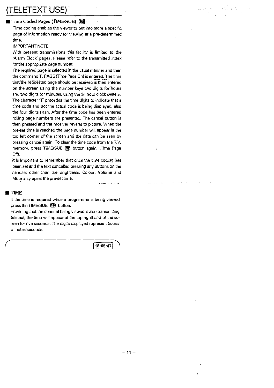# ETEXT USE)

## **Time Coded Pages (TIME/SUB) EQ**

Time coding enables the viewer to put into store a specific page of information ready for viewing at a pre-determined time.

### IMPORTANT NOTE

With present transmissions this facility is limited to the 'Alarm Clock' pages. Please refer to the transmitted index for the appropriate page number.

The required page is selected in the usual manner and then the command T. PAGE (Time Page On) is entered. The time that the requested page should be received is then entered on the screen using the number keys two digits for hours and two digits for minutes. using the **24** hour clock system. The character **7'** precedes the time digits to indicate that a time code and not the actual code is being displayed, also the four digits flash. After the time code has been entered rolling page numbers are presented. The cancel button is then pressed and the receiver reverts to picture. When the pre-set time is reached the page number will appear in the top left corner of the screen and the data can be seen by pressing cancel again. To clear the time code from the T.V. memory, press TIME/SUB @ button again. (Time Page Off).

it is important to remember that once the time coding has been set and the text cancelled pressing any buttons on the handset other than the Brightness, Colour, Volume and Mute may upset the pre-set time.

#### **TIME**

If the time is required while a programme is being viewed press the TIME/SUB @ button.

Providing that the channel being viewed is also transmitting teletext, the time will appear at the top righthand of the screen for five seconds. The digits displayed represent hours/ minuteslseconds.

18:05:47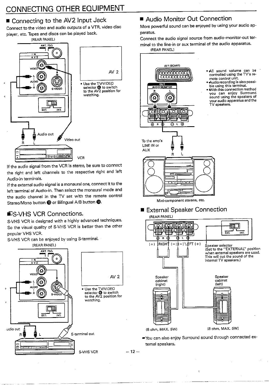# CONNECTING OTHER EQUIPMENT

## Connecting to the AV2 Input Jack

Connect to the video and audio outputs of a VTR, video disc player, etc. Tapes and discs can be played back.



 $\cdot$  the audio signal from the VCR is stereo, be sure to connect  $\cdot$ the right and left channels to the respective right and left Audio-in terminals.

If the external audio signal is a monaural one, connect it to the left terminal of Audio-in. Then select the monaural mode and the audio channel in the TV set with the remote control Stereo/Mono button **(B** or Bilingual A/B button **(B)**. Mini-component stereos, etc.

S-VHS VCR is designed with a highly advanced techniques. So the visual quality of S-VHS VCR is better than the other popular VHS VCR.

S-VHS VCR can be enjoyed by using S-terminal.



## ■ Audio Monitor Out Connection

More powerful sound can be enjoyed by using your audio apparatus.

Connect the audio signal source from audio-monitor-out terminal to the line-in or aux terminal of the audio apparatus.



All sound volume can be controlled using the TV's re-

- Audio recording is also possible using this terminal.<br>With this connection method
- you can enjoy Surround<br>sound using the speakers of ound using the speakers of<br>our audio apparatus and the V speakers.



#### External Speaker Connection S-VHS VCR Connections. (REAR PANELI



You can also enjoy Surround sound through connected external speakers.

 $\ddot{\cdot}$ 

 $-12-$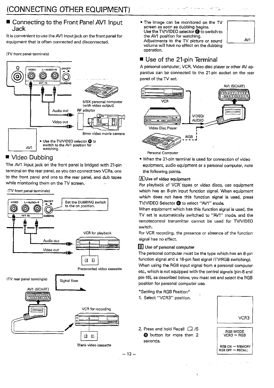## ■ Connecting to the Front Panel AV1 Input Jack

It is convenient to use the AV1 input jack on the front panel for equipment that is often connected and disconnected.

ITV front panel terminals)



## Video Dubbing

The AV1 input jack on the front panel is bridged with 21-pin terminal on the rear panel, so you can connect two VCRs, one to the front panel and one to the rear panel, and dub tapes while monitoring them on the TV screen.

#### \ **IV** front panel terminals)



 $-13-$ 

The image can be monitored on the TV screen as soon as dubbing begins. Use the TV/VIDEO selector @ to switch to the AV1 position for watching. Adjustments to the TV picture or sound volume will have no effect on the dubbing operation.



## Use of the 21-pin Terminal

A personal computer, VCR, Video disc player or other AV apparatus can be connected to the 21-pin socket on the rear panel of the TV set.



When the 21-pin terminal is used for connection of video equipment, audio equipment or a personal computer, note the following points.

#### $\boxed{\mathbf{A}}$  Use of video equipment

For playback of VCR'tapes or video discs, use equipment which has an 8-pin input function signal. When equipment which does not have this function signal is used, press TV/VIDEO Selector @ to select "AV1" mode.

When equipment which has this function signal is used, the TV set is automatically switched to "AV1" mode, and the remotecontrol transmitter cannot be used for TV/VIDEO switch.

For VCR recording, the presence or absence of the function signal has no effect.

#### **B** Use of personal computer

The personal computer must be the type which has an 8-pin function signal and a 16-pin fast signal (TV/RGB switching).

When using the RGB input signal from a personal computer etc., which is not equipped with the control signals (pin-8 and pin-16), as described below, you mast set and select the RGB position for personal computer use.

#### 'Setting the RGB Position\*

1. Select "VCR3" position.



 $RGB ON \rightarrow MEMONY$ <br>RGB OFF  $\rightarrow$  RECALL

2. Press and hold Recall  $\Box$  /S RGB MODE THESE AND THE CHANNEL TO THE RGB MODE<br> **@** button for more than 2 VCR3 + RGB seconds. <u>seconds</u><br>Blank video cassette RGB ON → MEMORY<br>RGB ON → MEMORY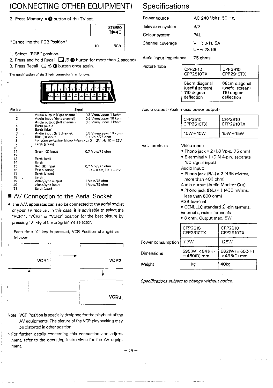# (CONNECTING OTHER EQUIPMENT) Specifications

3. Press Memory  $\diamond$  **D** button of the TV set.

\*Cancelling the RGB Position\*  $\Big|$  -10 RGB

1. Select "RGB" position.

2. Press and hold Recall  $\Box$  /S  $\circledR$  button for more than 2 seconds.

3. Press Recall  $\Box$  /S  $\Box$  button once again.

The specification of the 21-pin connector is **as** foilowr:



| Pin No.     | Signal                                                         |                           |
|-------------|----------------------------------------------------------------|---------------------------|
| 1           | Audio output (right channel)                                   | 0.5 Vrms/upper 1 kohm     |
| 2           | Audio input (right channel)                                    | 0.5 Vrms/upper 10 kohm    |
| 3           | Audio output (left channel)                                    | 0.5 Vrms/under 1 kohm     |
| 4           | Earth (audio)                                                  |                           |
|             | Earth (blue)                                                   |                           |
| 5<br>6<br>7 | Audio input (left channel)                                     | 0.5 Vrms/upper 10 kohm    |
|             | Blue (B) input                                                 | 0.7 Vp-p/75 ohm           |
| 8           | Function switching (video in/ext.) L: $0 - 2V$ , H: $10 - 12V$ |                           |
| 9           | Earth (green)                                                  |                           |
| 10          |                                                                |                           |
| 11          | Green (G) input                                                | 0.7 Vp-p/75 ohm           |
| 12          |                                                                |                           |
| 13          | Earth (red)                                                    |                           |
| 14          | Earth                                                          |                           |
| 15          | Red (R) input                                                  | 0.7 Vp-p/75 ohm           |
| 16          | Fast blanking                                                  | $L: 0 - 0.4V$ , H: 1 - 3V |
| 17          | Earth (video)                                                  |                           |
| 18          | Earth                                                          |                           |
| 19          | Video/sync output                                              | -1 Vp-p/75 ohm            |
| 20          | Video/sync input                                               | 1 Vp-p/75 ohm             |
| 21          | Earth (case)                                                   |                           |

## ■ AV Connection to the Aerial Socket

The A.V. apparatus can also be connected to the aerial socket of your TV receiver. In this case, it is advisable to select the "VCR1", "VCR2" or "VCR3" position for the best picture by pressing "0" key of the programme selector.

Each time "0" key is pressed, VCR Position changes as , follows:



I

- Note: VCR Position is specially designed for the playback of the AV equipments. The picture of the VCR playbacking may be distorted in other position.
- For further details concerning this connection and adjustment, refer to the operating instructions for the AV equipment.  $-14 -$

| EQUIPMENT)               | <b>Specifications</b>  |                                              |  |
|--------------------------|------------------------|----------------------------------------------|--|
| €t.                      | Power source           | AC 240 Volts, 50 Hz.                         |  |
| <b>STEREO</b>            | Television system      | B/G                                          |  |
| ))mm((                   | Colour system          | PAL                                          |  |
| <b>RGB</b><br>$-10$      | Channel coverage       | VHF: 0-11, 5A<br>UHF: 28-69                  |  |
| for more than 2 seconds. | Aerial input impedance | 75 ohms                                      |  |
| in.                      | Picture Tube           | CPP2510<br>CPP2910<br>CPP2510TX<br>CPP2910T) |  |

| CPP2510<br><b>CPP2510TX</b>                                  | CPP2910<br>CPP2910TX                                         |
|--------------------------------------------------------------|--------------------------------------------------------------|
| 59cm diagonal<br>(useful screen)<br>110 degree<br>deflection | 68cm diagonal<br>(useful screen)<br>110 degree<br>deflection |

Audio output (Peak music power output)

| CPP2510<br>CPP2510TX | CPP2910<br>CPP2910TX |
|----------------------|----------------------|
| $10W + 10W$          | $15W + 15W$          |

Ext. terminals Video input:

- $\bullet$  Phono jack  $\times$  2 (1.0 Vp-p, 75 ohm)
- S-terminal x 1 (DIN 4-pin, separate Y/C signal input)

Audio input:

Phono jack IRIL) **x** 2 (436 mVrms, more than 40K ohm)

Audio output (Audio Monitor Out):

- Phono jack (R/L) × 1 (436 mVrms, less than 600 ohm)
- RGB terminal
- CENELEC standard 21-pin terminal External speaker terminals
- 8 ohm, Output max. 5W

|                   | CPP2510<br>CPP2510TX                         | CPP2910<br>CPP2910TX           |
|-------------------|----------------------------------------------|--------------------------------|
| Power consumption | <b>117W</b>                                  | <b>125W</b>                    |
| Dimensions        | $595(W) \times 541(H)$<br>$\times$ 450(D) mm | 682(W) × 600(H)<br>x 495(D) mm |
| Weight            | kα                                           | 40ka                           |

Specifications subject to change without notice.